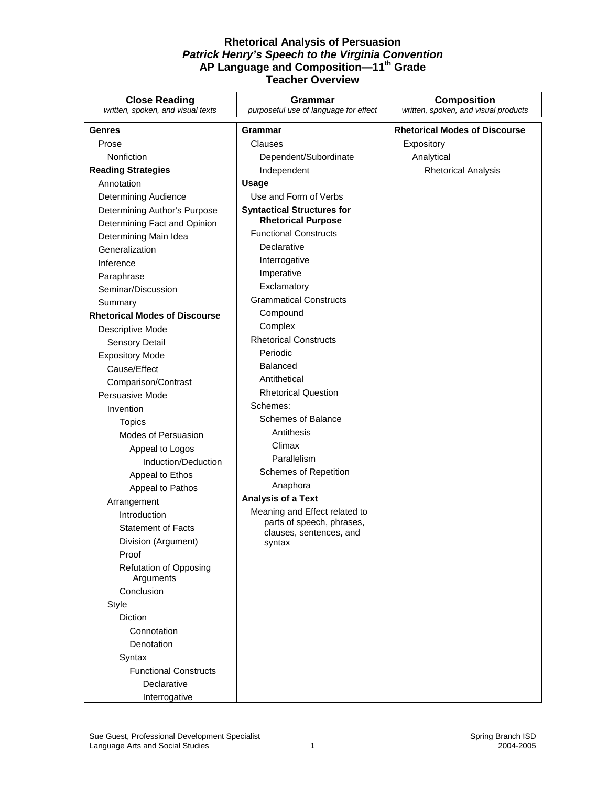| <b>Close Reading</b><br>written, spoken, and visual texts | Grammar<br>purposeful use of language for effect     | <b>Composition</b><br>written, spoken, and visual products |
|-----------------------------------------------------------|------------------------------------------------------|------------------------------------------------------------|
|                                                           |                                                      |                                                            |
| <b>Genres</b>                                             | Grammar                                              | <b>Rhetorical Modes of Discourse</b>                       |
| Prose                                                     | Clauses                                              | Expository                                                 |
| Nonfiction                                                | Dependent/Subordinate                                | Analytical                                                 |
| <b>Reading Strategies</b>                                 | Independent                                          | <b>Rhetorical Analysis</b>                                 |
| Annotation                                                | Usage                                                |                                                            |
| <b>Determining Audience</b>                               | Use and Form of Verbs                                |                                                            |
| Determining Author's Purpose                              | <b>Syntactical Structures for</b>                    |                                                            |
| Determining Fact and Opinion                              | <b>Rhetorical Purpose</b>                            |                                                            |
| Determining Main Idea                                     | <b>Functional Constructs</b>                         |                                                            |
| Generalization                                            | Declarative                                          |                                                            |
| Inference                                                 | Interrogative                                        |                                                            |
| Paraphrase                                                | Imperative                                           |                                                            |
| Seminar/Discussion                                        | Exclamatory                                          |                                                            |
| Summary                                                   | <b>Grammatical Constructs</b>                        |                                                            |
| <b>Rhetorical Modes of Discourse</b>                      | Compound                                             |                                                            |
| Descriptive Mode                                          | Complex                                              |                                                            |
| <b>Sensory Detail</b>                                     | <b>Rhetorical Constructs</b>                         |                                                            |
| <b>Expository Mode</b>                                    | Periodic                                             |                                                            |
| Cause/Effect                                              | <b>Balanced</b>                                      |                                                            |
| Comparison/Contrast                                       | Antithetical                                         |                                                            |
| Persuasive Mode                                           | <b>Rhetorical Question</b>                           |                                                            |
| Invention                                                 | Schemes:                                             |                                                            |
| <b>Topics</b>                                             | Schemes of Balance                                   |                                                            |
| Modes of Persuasion                                       | Antithesis                                           |                                                            |
| Appeal to Logos                                           | Climax                                               |                                                            |
| Induction/Deduction                                       | Parallelism                                          |                                                            |
| Appeal to Ethos                                           | <b>Schemes of Repetition</b>                         |                                                            |
| Appeal to Pathos                                          | Anaphora                                             |                                                            |
| Arrangement                                               | <b>Analysis of a Text</b>                            |                                                            |
| Introduction                                              | Meaning and Effect related to                        |                                                            |
| <b>Statement of Facts</b>                                 | parts of speech, phrases,<br>clauses, sentences, and |                                                            |
| Division (Argument)                                       | syntax                                               |                                                            |
| Proof                                                     |                                                      |                                                            |
| <b>Refutation of Opposing</b><br>Arguments                |                                                      |                                                            |
| Conclusion                                                |                                                      |                                                            |
| Style                                                     |                                                      |                                                            |
| Diction                                                   |                                                      |                                                            |
| Connotation                                               |                                                      |                                                            |
| Denotation                                                |                                                      |                                                            |
| Syntax                                                    |                                                      |                                                            |
| <b>Functional Constructs</b>                              |                                                      |                                                            |
| Declarative                                               |                                                      |                                                            |
| Interrogative                                             |                                                      |                                                            |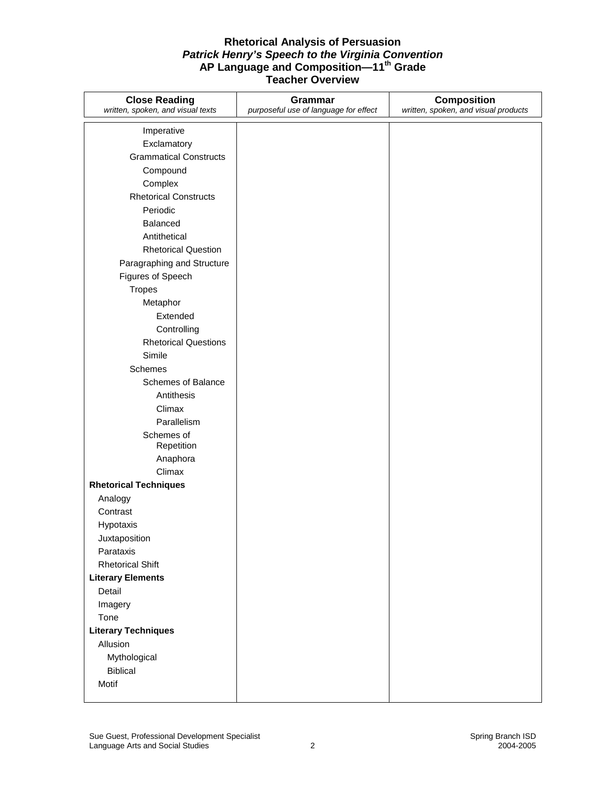| <b>Close Reading</b><br>written, spoken, and visual texts | Grammar<br>purposeful use of language for effect | <b>Composition</b><br>written, spoken, and visual products |
|-----------------------------------------------------------|--------------------------------------------------|------------------------------------------------------------|
|                                                           |                                                  |                                                            |
| Imperative                                                |                                                  |                                                            |
| Exclamatory                                               |                                                  |                                                            |
| <b>Grammatical Constructs</b>                             |                                                  |                                                            |
| Compound                                                  |                                                  |                                                            |
| Complex                                                   |                                                  |                                                            |
| <b>Rhetorical Constructs</b>                              |                                                  |                                                            |
| Periodic                                                  |                                                  |                                                            |
| <b>Balanced</b>                                           |                                                  |                                                            |
| Antithetical                                              |                                                  |                                                            |
| <b>Rhetorical Question</b>                                |                                                  |                                                            |
| Paragraphing and Structure                                |                                                  |                                                            |
| Figures of Speech                                         |                                                  |                                                            |
| <b>Tropes</b>                                             |                                                  |                                                            |
| Metaphor                                                  |                                                  |                                                            |
| Extended                                                  |                                                  |                                                            |
| Controlling                                               |                                                  |                                                            |
| <b>Rhetorical Questions</b>                               |                                                  |                                                            |
| Simile                                                    |                                                  |                                                            |
| Schemes                                                   |                                                  |                                                            |
| <b>Schemes of Balance</b>                                 |                                                  |                                                            |
| Antithesis                                                |                                                  |                                                            |
| Climax                                                    |                                                  |                                                            |
| Parallelism                                               |                                                  |                                                            |
| Schemes of                                                |                                                  |                                                            |
| Repetition                                                |                                                  |                                                            |
| Anaphora<br>Climax                                        |                                                  |                                                            |
| <b>Rhetorical Techniques</b>                              |                                                  |                                                            |
|                                                           |                                                  |                                                            |
| Analogy<br>Contrast                                       |                                                  |                                                            |
|                                                           |                                                  |                                                            |
| Hypotaxis                                                 |                                                  |                                                            |
| Juxtaposition<br>Parataxis                                |                                                  |                                                            |
| <b>Rhetorical Shift</b>                                   |                                                  |                                                            |
| <b>Literary Elements</b>                                  |                                                  |                                                            |
| Detail                                                    |                                                  |                                                            |
|                                                           |                                                  |                                                            |
| Imagery<br>Tone                                           |                                                  |                                                            |
| <b>Literary Techniques</b>                                |                                                  |                                                            |
| Allusion                                                  |                                                  |                                                            |
| Mythological                                              |                                                  |                                                            |
| <b>Biblical</b>                                           |                                                  |                                                            |
| Motif                                                     |                                                  |                                                            |
|                                                           |                                                  |                                                            |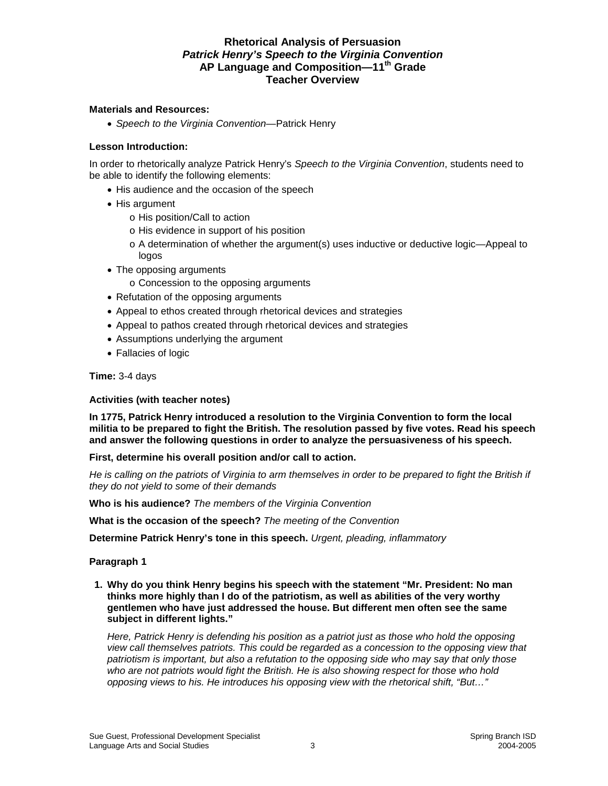## **Materials and Resources:**

• *Speech to the Virginia Convention*—Patrick Henry

### **Lesson Introduction:**

In order to rhetorically analyze Patrick Henry's *Speech to the Virginia Convention*, students need to be able to identify the following elements:

- His audience and the occasion of the speech
- His argument
	- o His position/Call to action
	- o His evidence in support of his position
	- o A determination of whether the argument(s) uses inductive or deductive logic—Appeal to logos
- The opposing arguments
	- o Concession to the opposing arguments
- Refutation of the opposing arguments
- Appeal to ethos created through rhetorical devices and strategies
- Appeal to pathos created through rhetorical devices and strategies
- Assumptions underlying the argument
- Fallacies of logic

**Time:** 3-4 days

#### **Activities (with teacher notes)**

**In 1775, Patrick Henry introduced a resolution to the Virginia Convention to form the local militia to be prepared to fight the British. The resolution passed by five votes. Read his speech and answer the following questions in order to analyze the persuasiveness of his speech.** 

#### **First, determine his overall position and/or call to action.**

He is calling on the patriots of Virginia to arm themselves in order to be prepared to fight the British if *they do not yield to some of their demands* 

**Who is his audience?** *The members of the Virginia Convention* 

**What is the occasion of the speech?** *The meeting of the Convention* 

**Determine Patrick Henry's tone in this speech.** *Urgent, pleading, inflammatory* 

#### **Paragraph 1**

 **1. Why do you think Henry begins his speech with the statement "Mr. President: No man thinks more highly than I do of the patriotism, as well as abilities of the very worthy gentlemen who have just addressed the house. But different men often see the same subject in different lights."** 

*Here, Patrick Henry is defending his position as a patriot just as those who hold the opposing view call themselves patriots. This could be regarded as a concession to the opposing view that patriotism is important, but also a refutation to the opposing side who may say that only those who are not patriots would fight the British. He is also showing respect for those who hold opposing views to his. He introduces his opposing view with the rhetorical shift, "But…"*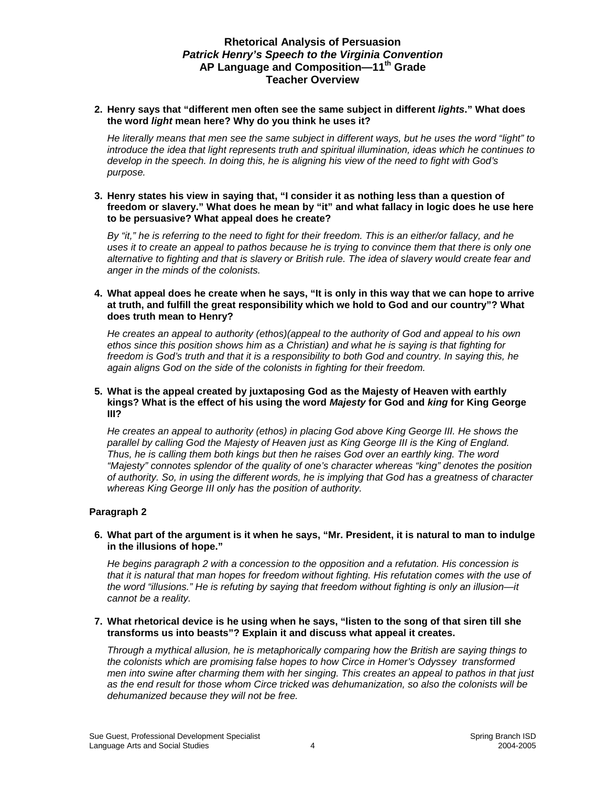### **2. Henry says that "different men often see the same subject in different** *lights***." What does the word** *light* **mean here? Why do you think he uses it?**

*He literally means that men see the same subject in different ways, but he uses the word "light" to introduce the idea that light represents truth and spiritual illumination, ideas which he continues to develop in the speech. In doing this, he is aligning his view of the need to fight with God's purpose.* 

#### **3. Henry states his view in saying that, "I consider it as nothing less than a question of freedom or slavery." What does he mean by "it" and what fallacy in logic does he use here to be persuasive? What appeal does he create?**

*By "it," he is referring to the need to fight for their freedom. This is an either/or fallacy, and he uses it to create an appeal to pathos because he is trying to convince them that there is only one alternative to fighting and that is slavery or British rule. The idea of slavery would create fear and anger in the minds of the colonists.* 

#### **4. What appeal does he create when he says, "It is only in this way that we can hope to arrive at truth, and fulfill the great responsibility which we hold to God and our country"? What does truth mean to Henry?**

*He creates an appeal to authority (ethos)(appeal to the authority of God and appeal to his own ethos since this position shows him as a Christian) and what he is saying is that fighting for freedom is God's truth and that it is a responsibility to both God and country. In saying this, he again aligns God on the side of the colonists in fighting for their freedom.* 

#### **5. What is the appeal created by juxtaposing God as the Majesty of Heaven with earthly kings? What is the effect of his using the word** *Majesty* **for God and** *king* **for King George III?**

*He creates an appeal to authority (ethos) in placing God above King George III. He shows the parallel by calling God the Majesty of Heaven just as King George III is the King of England. Thus, he is calling them both kings but then he raises God over an earthly king. The word "Majesty" connotes splendor of the quality of one's character whereas "king" denotes the position of authority. So, in using the different words, he is implying that God has a greatness of character whereas King George III only has the position of authority.* 

## **Paragraph 2**

#### **6. What part of the argument is it when he says, "Mr. President, it is natural to man to indulge in the illusions of hope."**

*He begins paragraph 2 with a concession to the opposition and a refutation. His concession is that it is natural that man hopes for freedom without fighting. His refutation comes with the use of the word "illusions." He is refuting by saying that freedom without fighting is only an illusion—it cannot be a reality.* 

### **7. What rhetorical device is he using when he says, "listen to the song of that siren till she transforms us into beasts"? Explain it and discuss what appeal it creates.**

*Through a mythical allusion, he is metaphorically comparing how the British are saying things to the colonists which are promising false hopes to how Circe in Homer's Odyssey transformed men into swine after charming them with her singing. This creates an appeal to pathos in that just as the end result for those whom Circe tricked was dehumanization, so also the colonists will be dehumanized because they will not be free.*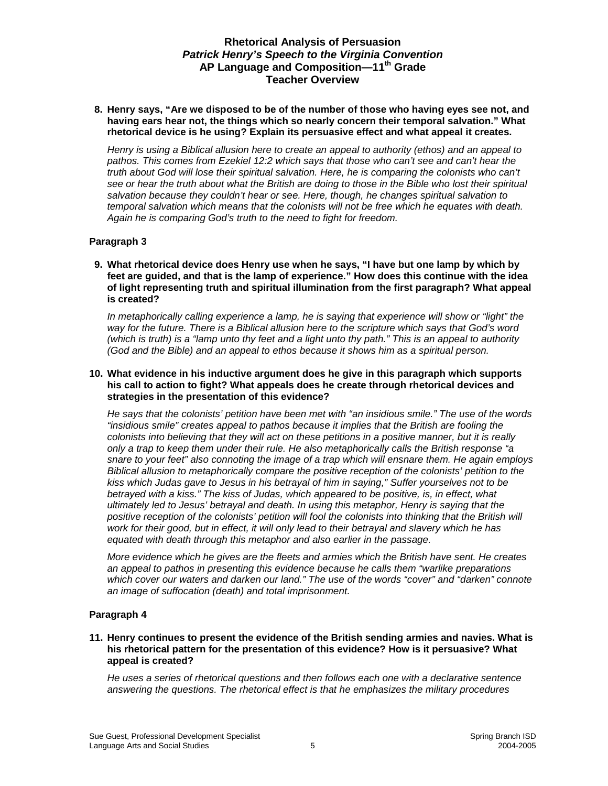**8. Henry says, "Are we disposed to be of the number of those who having eyes see not, and having ears hear not, the things which so nearly concern their temporal salvation." What rhetorical device is he using? Explain its persuasive effect and what appeal it creates.** 

*Henry is using a Biblical allusion here to create an appeal to authority (ethos) and an appeal to pathos. This comes from Ezekiel 12:2 which says that those who can't see and can't hear the truth about God will lose their spiritual salvation. Here, he is comparing the colonists who can't see or hear the truth about what the British are doing to those in the Bible who lost their spiritual salvation because they couldn't hear or see. Here, though, he changes spiritual salvation to temporal salvation which means that the colonists will not be free which he equates with death. Again he is comparing God's truth to the need to fight for freedom.* 

### **Paragraph 3**

 **9. What rhetorical device does Henry use when he says, "I have but one lamp by which by feet are guided, and that is the lamp of experience." How does this continue with the idea of light representing truth and spiritual illumination from the first paragraph? What appeal is created?** 

*In metaphorically calling experience a lamp, he is saying that experience will show or "light" the way for the future. There is a Biblical allusion here to the scripture which says that God's word (which is truth) is a "lamp unto thy feet and a light unto thy path." This is an appeal to authority (God and the Bible) and an appeal to ethos because it shows him as a spiritual person.* 

#### **10. What evidence in his inductive argument does he give in this paragraph which supports his call to action to fight? What appeals does he create through rhetorical devices and strategies in the presentation of this evidence?**

*He says that the colonists' petition have been met with "an insidious smile." The use of the words "insidious smile" creates appeal to pathos because it implies that the British are fooling the colonists into believing that they will act on these petitions in a positive manner, but it is really only a trap to keep them under their rule. He also metaphorically calls the British response "a snare to your feet" also connoting the image of a trap which will ensnare them. He again employs Biblical allusion to metaphorically compare the positive reception of the colonists' petition to the kiss which Judas gave to Jesus in his betrayal of him in saying," Suffer yourselves not to be betrayed with a kiss." The kiss of Judas, which appeared to be positive, is, in effect, what ultimately led to Jesus' betrayal and death. In using this metaphor, Henry is saying that the positive reception of the colonists' petition will fool the colonists into thinking that the British will work for their good, but in effect, it will only lead to their betrayal and slavery which he has equated with death through this metaphor and also earlier in the passage.* 

*More evidence which he gives are the fleets and armies which the British have sent. He creates an appeal to pathos in presenting this evidence because he calls them "warlike preparations which cover our waters and darken our land." The use of the words "cover" and "darken" connote an image of suffocation (death) and total imprisonment.* 

## **Paragraph 4**

#### **11. Henry continues to present the evidence of the British sending armies and navies. What is his rhetorical pattern for the presentation of this evidence? How is it persuasive? What appeal is created?**

*He uses a series of rhetorical questions and then follows each one with a declarative sentence answering the questions. The rhetorical effect is that he emphasizes the military procedures*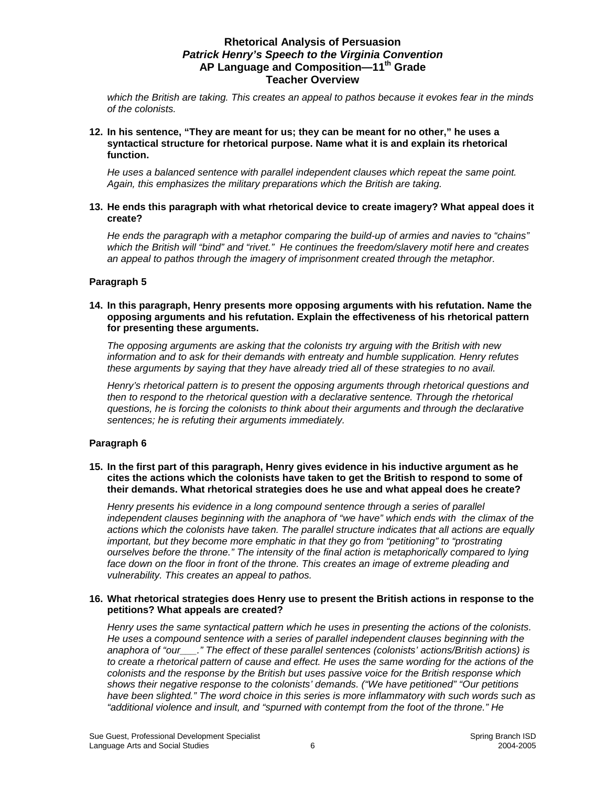*which the British are taking. This creates an appeal to pathos because it evokes fear in the minds of the colonists.* 

### **12. In his sentence, "They are meant for us; they can be meant for no other," he uses a syntactical structure for rhetorical purpose. Name what it is and explain its rhetorical function.**

*He uses a balanced sentence with parallel independent clauses which repeat the same point. Again, this emphasizes the military preparations which the British are taking.* 

### **13. He ends this paragraph with what rhetorical device to create imagery? What appeal does it create?**

*He ends the paragraph with a metaphor comparing the build-up of armies and navies to "chains" which the British will "bind" and "rivet." He continues the freedom/slavery motif here and creates an appeal to pathos through the imagery of imprisonment created through the metaphor.* 

### **Paragraph 5**

#### **14. In this paragraph, Henry presents more opposing arguments with his refutation. Name the opposing arguments and his refutation. Explain the effectiveness of his rhetorical pattern for presenting these arguments.**

*The opposing arguments are asking that the colonists try arguing with the British with new information and to ask for their demands with entreaty and humble supplication. Henry refutes these arguments by saying that they have already tried all of these strategies to no avail.* 

*Henry's rhetorical pattern is to present the opposing arguments through rhetorical questions and then to respond to the rhetorical question with a declarative sentence. Through the rhetorical questions, he is forcing the colonists to think about their arguments and through the declarative sentences; he is refuting their arguments immediately.* 

#### **Paragraph 6**

#### **15. In the first part of this paragraph, Henry gives evidence in his inductive argument as he cites the actions which the colonists have taken to get the British to respond to some of their demands. What rhetorical strategies does he use and what appeal does he create?**

*Henry presents his evidence in a long compound sentence through a series of parallel independent clauses beginning with the anaphora of "we have" which ends with the climax of the actions which the colonists have taken. The parallel structure indicates that all actions are equally important, but they become more emphatic in that they go from "petitioning" to "prostrating ourselves before the throne." The intensity of the final action is metaphorically compared to lying*  face down on the floor in front of the throne. This creates an image of extreme pleading and *vulnerability. This creates an appeal to pathos.* 

#### **16. What rhetorical strategies does Henry use to present the British actions in response to the petitions? What appeals are created?**

*Henry uses the same syntactical pattern which he uses in presenting the actions of the colonists. He uses a compound sentence with a series of parallel independent clauses beginning with the anaphora of "our\_\_\_." The effect of these parallel sentences (colonists' actions/British actions) is to create a rhetorical pattern of cause and effect. He uses the same wording for the actions of the colonists and the response by the British but uses passive voice for the British response which shows their negative response to the colonists' demands. ("We have petitioned" "Our petitions have been slighted." The word choice in this series is more inflammatory with such words such as "additional violence and insult, and "spurned with contempt from the foot of the throne." He*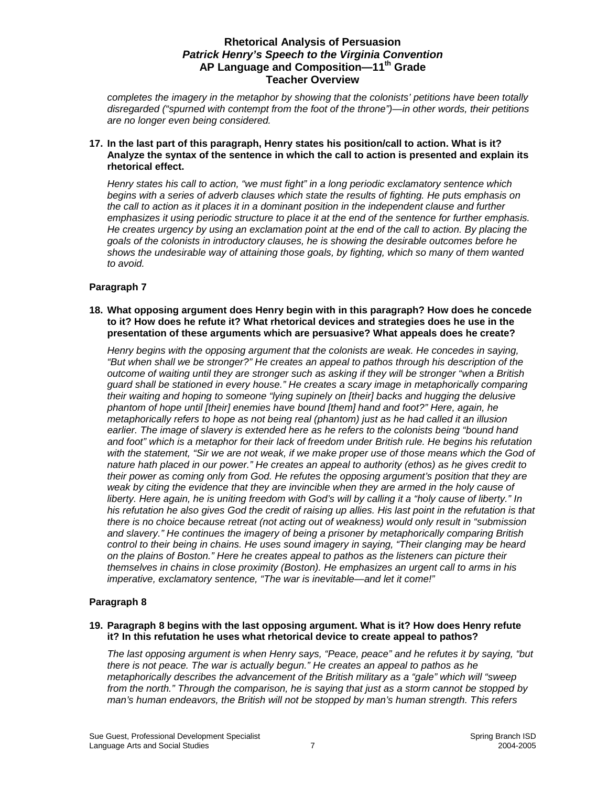*completes the imagery in the metaphor by showing that the colonists' petitions have been totally disregarded ("spurned with contempt from the foot of the throne")—in other words, their petitions are no longer even being considered.* 

**17. In the last part of this paragraph, Henry states his position/call to action. What is it? Analyze the syntax of the sentence in which the call to action is presented and explain its rhetorical effect.** 

*Henry states his call to action, "we must fight" in a long periodic exclamatory sentence which begins with a series of adverb clauses which state the results of fighting. He puts emphasis on the call to action as it places it in a dominant position in the independent clause and further emphasizes it using periodic structure to place it at the end of the sentence for further emphasis. He creates urgency by using an exclamation point at the end of the call to action. By placing the goals of the colonists in introductory clauses, he is showing the desirable outcomes before he shows the undesirable way of attaining those goals, by fighting, which so many of them wanted to avoid.* 

## **Paragraph 7**

**18. What opposing argument does Henry begin with in this paragraph? How does he concede to it? How does he refute it? What rhetorical devices and strategies does he use in the presentation of these arguments which are persuasive? What appeals does he create?** 

*Henry begins with the opposing argument that the colonists are weak. He concedes in saying, "But when shall we be stronger?" He creates an appeal to pathos through his description of the outcome of waiting until they are stronger such as asking if they will be stronger "when a British guard shall be stationed in every house." He creates a scary image in metaphorically comparing their waiting and hoping to someone "lying supinely on [their] backs and hugging the delusive phantom of hope until [their] enemies have bound [them] hand and foot?" Here, again, he metaphorically refers to hope as not being real (phantom) just as he had called it an illusion earlier. The image of slavery is extended here as he refers to the colonists being "bound hand and foot" which is a metaphor for their lack of freedom under British rule. He begins his refutation with the statement, "Sir we are not weak, if we make proper use of those means which the God of nature hath placed in our power." He creates an appeal to authority (ethos) as he gives credit to their power as coming only from God. He refutes the opposing argument's position that they are weak by citing the evidence that they are invincible when they are armed in the holy cause of liberty. Here again, he is uniting freedom with God's will by calling it a "holy cause of liberty." In his refutation he also gives God the credit of raising up allies. His last point in the refutation is that there is no choice because retreat (not acting out of weakness) would only result in "submission and slavery." He continues the imagery of being a prisoner by metaphorically comparing British control to their being in chains. He uses sound imagery in saying, "Their clanging may be heard on the plains of Boston." Here he creates appeal to pathos as the listeners can picture their themselves in chains in close proximity (Boston). He emphasizes an urgent call to arms in his imperative, exclamatory sentence, "The war is inevitable—and let it come!"* 

## **Paragraph 8**

#### **19. Paragraph 8 begins with the last opposing argument. What is it? How does Henry refute it? In this refutation he uses what rhetorical device to create appeal to pathos?**

*The last opposing argument is when Henry says, "Peace, peace" and he refutes it by saying, "but there is not peace. The war is actually begun." He creates an appeal to pathos as he metaphorically describes the advancement of the British military as a "gale" which will "sweep from the north." Through the comparison, he is saying that just as a storm cannot be stopped by man's human endeavors, the British will not be stopped by man's human strength. This refers*